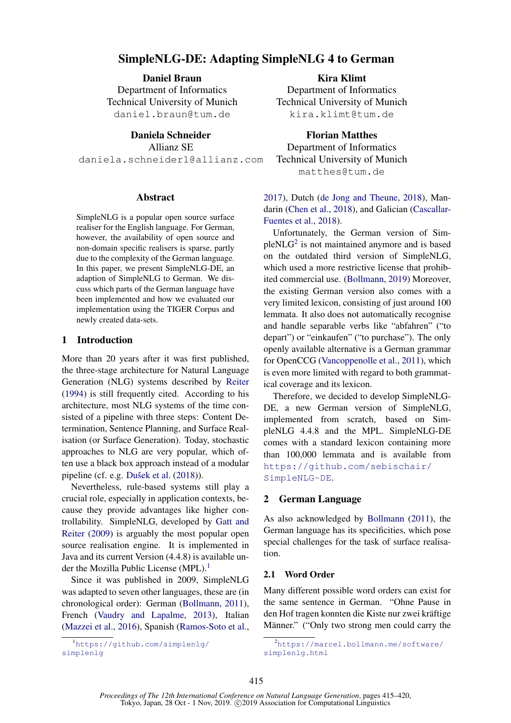# SimpleNLG-DE: Adapting SimpleNLG 4 to German

Daniel Braun Department of Informatics Technical University of Munich daniel.braun@tum.de

Daniela Schneider

Allianz SE

daniela.schneider1@allianz.com

#### Abstract

SimpleNLG is a popular open source surface realiser for the English language. For German, however, the availability of open source and non-domain specific realisers is sparse, partly due to the complexity of the German language. In this paper, we present SimpleNLG-DE, an adaption of SimpleNLG to German. We discuss which parts of the German language have been implemented and how we evaluated our implementation using the TIGER Corpus and newly created data-sets.

### 1 Introduction

More than 20 years after it was first published, the three-stage architecture for Natural Language Generation (NLG) systems described by [Reiter](#page-5-0) [\(1994\)](#page-5-0) is still frequently cited. According to his architecture, most NLG systems of the time consisted of a pipeline with three steps: Content Determination, Sentence Planning, and Surface Realisation (or Surface Generation). Today, stochastic approaches to NLG are very popular, which often use a black box approach instead of a modular pipeline (cf. e.g. Dušek et al.  $(2018)$ ).

Nevertheless, rule-based systems still play a crucial role, especially in application contexts, because they provide advantages like higher controllability. SimpleNLG, developed by [Gatt and](#page-5-2) [Reiter](#page-5-2) [\(2009\)](#page-5-2) is arguably the most popular open source realisation engine. It is implemented in Java and its current Version (4.4.8) is available un-der the Mozilla Public License (MPL).<sup>[1](#page-0-0)</sup>

Since it was published in 2009, SimpleNLG was adapted to seven other languages, these are (in chronological order): German [\(Bollmann,](#page-4-0) [2011\)](#page-4-0), French [\(Vaudry and Lapalme,](#page-5-3) [2013\)](#page-5-3), Italian [\(Mazzei et al.,](#page-5-4) [2016\)](#page-5-4), Spanish [\(Ramos-Soto et al.,](#page-5-5)

<span id="page-0-0"></span><sup>1</sup>[https://github.com/simplenlg/](https://github.com/simplenlg/simplenlg) [simplenlg](https://github.com/simplenlg/simplenlg)

Kira Klimt Department of Informatics Technical University of Munich kira.klimt@tum.de

Florian Matthes Department of Informatics Technical University of Munich matthes@tum.de

[2017\)](#page-5-5), Dutch [\(de Jong and Theune,](#page-5-6) [2018\)](#page-5-6), Mandarin [\(Chen et al.,](#page-5-7) [2018\)](#page-5-7), and Galician [\(Cascallar-](#page-5-8)[Fuentes et al.,](#page-5-8) [2018\)](#page-5-8).

Unfortunately, the German version of Sim- $pleNLG<sup>2</sup>$  $pleNLG<sup>2</sup>$  $pleNLG<sup>2</sup>$  is not maintained anymore and is based on the outdated third version of SimpleNLG, which used a more restrictive license that prohibited commercial use. [\(Bollmann,](#page-5-9) [2019\)](#page-5-9) Moreover, the existing German version also comes with a very limited lexicon, consisting of just around 100 lemmata. It also does not automatically recognise and handle separable verbs like "abfahren" ("to depart") or "einkaufen" ("to purchase"). The only openly available alternative is a German grammar for OpenCCG [\(Vancoppenolle et al.,](#page-5-10) [2011\)](#page-5-10), which is even more limited with regard to both grammatical coverage and its lexicon.

Therefore, we decided to develop SimpleNLG-DE, a new German version of SimpleNLG, implemented from scratch, based on SimpleNLG 4.4.8 and the MPL. SimpleNLG-DE comes with a standard lexicon containing more than 100,000 lemmata and is available from [https://github.com/sebischair/](https://github.com/sebischair/SimpleNLG-DE) [SimpleNLG-DE](https://github.com/sebischair/SimpleNLG-DE).

### 2 German Language

As also acknowledged by [Bollmann](#page-4-0) [\(2011\)](#page-4-0), the German language has its specificities, which pose special challenges for the task of surface realisation.

### 2.1 Word Order

Many different possible word orders can exist for the same sentence in German. "Ohne Pause in den Hof tragen konnten die Kiste nur zwei kräftige Männer." ("Only two strong men could carry the

<span id="page-0-1"></span><sup>&</sup>lt;sup>2</sup>[https://marcel.bollmann.me/software/](https://marcel.bollmann.me/software/simplenlg.html) [simplenlg.html](https://marcel.bollmann.me/software/simplenlg.html)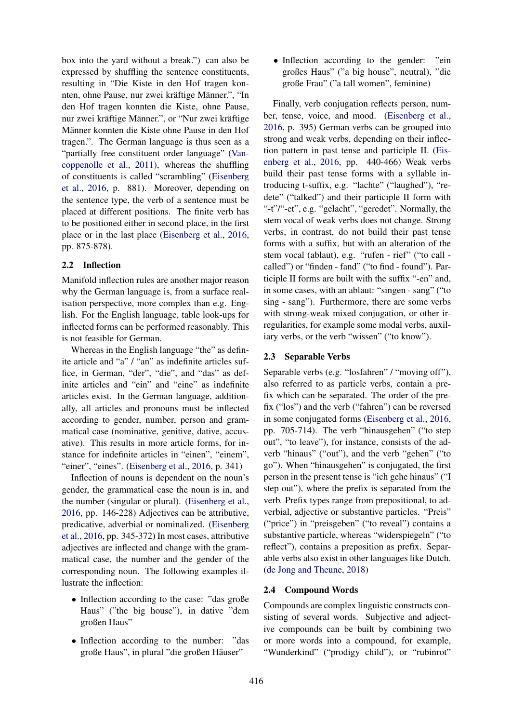box into the yard without a break.") can also be expressed by shuffling the sentence constituents, resulting in "Die Kiste in den Hof tragen konnten, ohne Pause, nur zwei kräftige Männer.", "In den Hof tragen konnten die Kiste, ohne Pause, nur zwei kräftige Männer.", or "Nur zwei kräftige Männer konnten die Kiste ohne Pause in den Hof tragen.". The German language is thus seen as a "partially free constituent order language" [\(Van](#page-5-10)[coppenolle et al.,](#page-5-10) [2011\)](#page-5-10), whereas the shuffling of constituents is called "scrambling" [\(Eisenberg](#page-5-11) [et al.,](#page-5-11) [2016,](#page-5-11) p. 881). Moreover, depending on the sentence type, the verb of a sentence must be placed at different positions. The finite verb has to be positioned either in second place, in the first place or in the last place [\(Eisenberg et al.,](#page-5-11) [2016,](#page-5-11) pp. 875-878).

### 2.2 Inflection

Manifold inflection rules are another major reason why the German language is, from a surface realisation perspective, more complex than e.g. English. For the English language, table look-ups for inflected forms can be performed reasonably. This is not feasible for German.

Whereas in the English language "the" as definite article and "a" / "an" as indefinite articles suffice, in German, "der", "die", and "das" as definite articles and "ein" and "eine" as indefinite articles exist. In the German language, additionally, all articles and pronouns must be inflected according to gender, number, person and grammatical case (nominative, genitive, dative, accusative). This results in more article forms, for instance for indefinite articles in "einen", "einem", "einer", "eines". [\(Eisenberg et al.,](#page-5-11) [2016,](#page-5-11) p. 341)

Inflection of nouns is dependent on the noun's gender, the grammatical case the noun is in, and the number (singular or plural). [\(Eisenberg et al.,](#page-5-11) [2016,](#page-5-11) pp. 146-228) Adjectives can be attributive, predicative, adverbial or nominalized. [\(Eisenberg](#page-5-11) [et al.,](#page-5-11) [2016,](#page-5-11) pp. 345-372) In most cases, attributive adjectives are inflected and change with the grammatical case, the number and the gender of the corresponding noun. The following examples illustrate the inflection:

- Inflection according to the case: "das große Haus" ("the big house"), in dative "dem großen Haus"
- Inflection according to the number: "das große Haus", in plural "die großen Häuser"

• Inflection according to the gender: "ein großes Haus" ("a big house", neutral), "die große Frau" ("a tall women", feminine)

Finally, verb conjugation reflects person, number, tense, voice, and mood. [\(Eisenberg et al.,](#page-5-11) [2016,](#page-5-11) p. 395) German verbs can be grouped into strong and weak verbs, depending on their inflection pattern in past tense and participle II. [\(Eis](#page-5-11)[enberg et al.,](#page-5-11) [2016,](#page-5-11) pp. 440-466) Weak verbs build their past tense forms with a syllable introducing t-suffix, e.g. "lachte" ("laughed"), "redete" ("talked") and their participle II form with "-t"/"-et", e.g. "gelacht", "geredet". Normally, the stem vocal of weak verbs does not change. Strong verbs, in contrast, do not build their past tense forms with a suffix, but with an alteration of the stem vocal (ablaut), e.g. "rufen - rief" ("to call called") or "finden - fand" ("to find - found"). Participle II forms are built with the suffix "-en" and, in some cases, with an ablaut: "singen - sang" ("to sing - sang"). Furthermore, there are some verbs with strong-weak mixed conjugation, or other irregularities, for example some modal verbs, auxiliary verbs, or the verb "wissen" ("to know").

# 2.3 Separable Verbs

Separable verbs (e.g. "losfahren" / "moving off"), also referred to as particle verbs, contain a prefix which can be separated. The order of the prefix ("los") and the verb ("fahren") can be reversed in some conjugated forms [\(Eisenberg et al.,](#page-5-11) [2016,](#page-5-11) pp. 705-714). The verb "hinausgehen" ("to step out", "to leave"), for instance, consists of the adverb "hinaus" ("out"), and the verb "gehen" ("to go"). When "hinausgehen" is conjugated, the first person in the present tense is "ich gehe hinaus" ("I step out"), where the prefix is separated from the verb. Prefix types range from prepositional, to adverbial, adjective or substantive particles. "Preis" ("price") in "preisgeben" ("to reveal") contains a substantive particle, whereas "widerspiegeln" ("to reflect"), contains a preposition as prefix. Separable verbs also exist in other languages like Dutch. [\(de Jong and Theune,](#page-5-6) [2018\)](#page-5-6)

## <span id="page-1-0"></span>2.4 Compound Words

Compounds are complex linguistic constructs consisting of several words. Subjective and adjective compounds can be built by combining two or more words into a compound, for example, "Wunderkind" ("prodigy child"), or "rubinrot"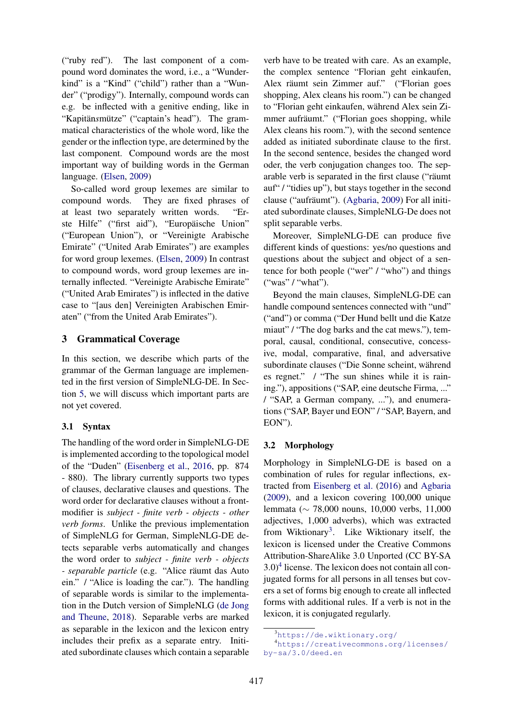("ruby red"). The last component of a compound word dominates the word, i.e., a "Wunderkind" is a "Kind" ("child") rather than a "Wunder" ("prodigy"). Internally, compound words can e.g. be inflected with a genitive ending, like in "Kapitänsmütze" ("captain's head"). The grammatical characteristics of the whole word, like the gender or the inflection type, are determined by the last component. Compound words are the most important way of building words in the German language. [\(Elsen,](#page-5-12) [2009\)](#page-5-12)

So-called word group lexemes are similar to compound words. They are fixed phrases of at least two separately written words. "Erste Hilfe" ("first aid"), "Europäische Union" ("European Union"), or "Vereinigte Arabische Emirate" ("United Arab Emirates") are examples for word group lexemes. [\(Elsen,](#page-5-12) [2009\)](#page-5-12) In contrast to compound words, word group lexemes are internally inflected. "Vereinigte Arabische Emirate" ("United Arab Emirates") is inflected in the dative case to "[aus den] Vereinigten Arabischen Emiraten" ("from the United Arab Emirates").

## <span id="page-2-2"></span>3 Grammatical Coverage

In this section, we describe which parts of the grammar of the German language are implemented in the first version of SimpleNLG-DE. In Section [5,](#page-4-1) we will discuss which important parts are not yet covered.

## 3.1 Syntax

The handling of the word order in SimpleNLG-DE is implemented according to the topological model of the "Duden" [\(Eisenberg et al.,](#page-5-11) [2016,](#page-5-11) pp. 874 - 880). The library currently supports two types of clauses, declarative clauses and questions. The word order for declarative clauses without a frontmodifier is *subject - finite verb - objects - other verb forms*. Unlike the previous implementation of SimpleNLG for German, SimpleNLG-DE detects separable verbs automatically and changes the word order to *subject - finite verb - objects - separable particle* (e.g. "Alice räumt das Auto ein." / "Alice is loading the car."). The handling of separable words is similar to the implementation in the Dutch version of SimpleNLG [\(de Jong](#page-5-6) [and Theune,](#page-5-6) [2018\)](#page-5-6). Separable verbs are marked as separable in the lexicon and the lexicon entry includes their prefix as a separate entry. Initiated subordinate clauses which contain a separable

verb have to be treated with care. As an example, the complex sentence "Florian geht einkaufen, Alex räumt sein Zimmer auf." ("Florian goes shopping, Alex cleans his room.") can be changed to "Florian geht einkaufen, während Alex sein Zimmer aufräumt." ("Florian goes shopping, while Alex cleans his room."), with the second sentence added as initiated subordinate clause to the first. In the second sentence, besides the changed word oder, the verb conjugation changes too. The separable verb is separated in the first clause ("räumt") auf" / "tidies up"), but stays together in the second clause ("aufräumt"). ([Agbaria,](#page-4-2) [2009\)](#page-4-2) For all initiated subordinate clauses, SimpleNLG-De does not split separable verbs.

Moreover, SimpleNLG-DE can produce five different kinds of questions: yes/no questions and questions about the subject and object of a sentence for both people ("wer" / "who") and things ("was" / "what").

Beyond the main clauses, SimpleNLG-DE can handle compound sentences connected with "und" ("and") or comma ("Der Hund bellt und die Katze miaut" / "The dog barks and the cat mews."), temporal, causal, conditional, consecutive, concessive, modal, comparative, final, and adversative subordinate clauses ("Die Sonne scheint, während es regnet." / "The sun shines while it is raining."), appositions ("SAP, eine deutsche Firma, ..." / "SAP, a German company, ..."), and enumerations ("SAP, Bayer und EON" / "SAP, Bayern, and EON").

## 3.2 Morphology

Morphology in SimpleNLG-DE is based on a combination of rules for regular inflections, extracted from [Eisenberg et al.](#page-5-11) [\(2016\)](#page-5-11) and [Agbaria](#page-4-2) [\(2009\)](#page-4-2), and a lexicon covering 100,000 unique lemmata (∼ 78,000 nouns, 10,000 verbs, 11,000 adjectives, 1,000 adverbs), which was extracted from Wiktionary<sup>[3](#page-2-0)</sup>. Like Wiktionary itself, the lexicon is licensed under the Creative Commons Attribution-ShareAlike 3.0 Unported (CC BY-SA  $3.0$ <sup>[4](#page-2-1)</sup> license. The lexicon does not contain all conjugated forms for all persons in all tenses but covers a set of forms big enough to create all inflected forms with additional rules. If a verb is not in the lexicon, it is conjugated regularly.

<span id="page-2-1"></span><span id="page-2-0"></span><sup>3</sup><https://de.wiktionary.org/>

<sup>4</sup>[https://creativecommons.org/licenses/](https://creativecommons.org/licenses/by-sa/3.0/deed.en) [by-sa/3.0/deed.en](https://creativecommons.org/licenses/by-sa/3.0/deed.en)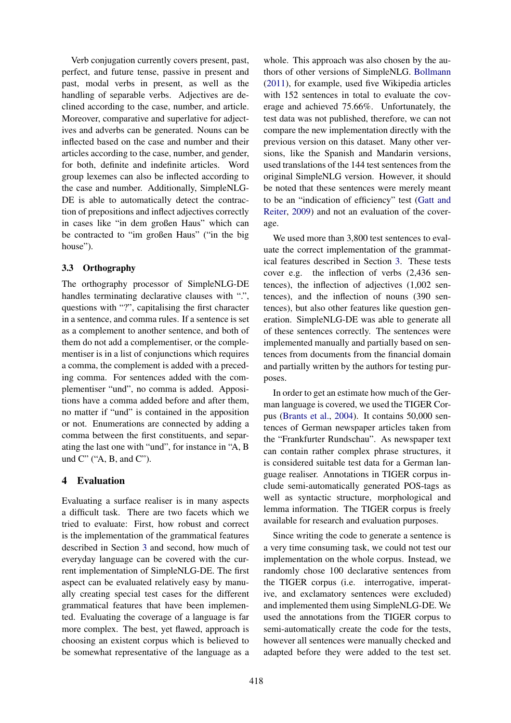Verb conjugation currently covers present, past, perfect, and future tense, passive in present and past, modal verbs in present, as well as the handling of separable verbs. Adjectives are declined according to the case, number, and article. Moreover, comparative and superlative for adjectives and adverbs can be generated. Nouns can be inflected based on the case and number and their articles according to the case, number, and gender, for both, definite and indefinite articles. Word group lexemes can also be inflected according to the case and number. Additionally, SimpleNLG-DE is able to automatically detect the contraction of prepositions and inflect adjectives correctly in cases like "in dem großen Haus" which can be contracted to "im großen Haus" ("in the big house").

### 3.3 Orthography

The orthography processor of SimpleNLG-DE handles terminating declarative clauses with ".", questions with "?", capitalising the first character in a sentence, and comma rules. If a sentence is set as a complement to another sentence, and both of them do not add a complementiser, or the complementiser is in a list of conjunctions which requires a comma, the complement is added with a preceding comma. For sentences added with the complementiser "und", no comma is added. Appositions have a comma added before and after them, no matter if "und" is contained in the apposition or not. Enumerations are connected by adding a comma between the first constituents, and separating the last one with "und", for instance in "A, B und  $C^{\prime\prime}$  ("A, B, and  $C^{\prime\prime}$ ).

## 4 Evaluation

Evaluating a surface realiser is in many aspects a difficult task. There are two facets which we tried to evaluate: First, how robust and correct is the implementation of the grammatical features described in Section [3](#page-2-2) and second, how much of everyday language can be covered with the current implementation of SimpleNLG-DE. The first aspect can be evaluated relatively easy by manually creating special test cases for the different grammatical features that have been implemented. Evaluating the coverage of a language is far more complex. The best, yet flawed, approach is choosing an existent corpus which is believed to be somewhat representative of the language as a

whole. This approach was also chosen by the authors of other versions of SimpleNLG. [Bollmann](#page-4-0) [\(2011\)](#page-4-0), for example, used five Wikipedia articles with 152 sentences in total to evaluate the coverage and achieved 75.66%. Unfortunately, the test data was not published, therefore, we can not compare the new implementation directly with the previous version on this dataset. Many other versions, like the Spanish and Mandarin versions, used translations of the 144 test sentences from the original SimpleNLG version. However, it should be noted that these sentences were merely meant to be an "indication of efficiency" test [\(Gatt and](#page-5-2) [Reiter,](#page-5-2) [2009\)](#page-5-2) and not an evaluation of the coverage.

We used more than 3,800 test sentences to evaluate the correct implementation of the grammatical features described in Section [3.](#page-2-2) These tests cover e.g. the inflection of verbs (2,436 sentences), the inflection of adjectives (1,002 sentences), and the inflection of nouns (390 sentences), but also other features like question generation. SimpleNLG-DE was able to generate all of these sentences correctly. The sentences were implemented manually and partially based on sentences from documents from the financial domain and partially written by the authors for testing purposes.

In order to get an estimate how much of the German language is covered, we used the TIGER Corpus [\(Brants et al.,](#page-5-13) [2004\)](#page-5-13). It contains 50,000 sentences of German newspaper articles taken from the "Frankfurter Rundschau". As newspaper text can contain rather complex phrase structures, it is considered suitable test data for a German language realiser. Annotations in TIGER corpus include semi-automatically generated POS-tags as well as syntactic structure, morphological and lemma information. The TIGER corpus is freely available for research and evaluation purposes.

Since writing the code to generate a sentence is a very time consuming task, we could not test our implementation on the whole corpus. Instead, we randomly chose 100 declarative sentences from the TIGER corpus (i.e. interrogative, imperative, and exclamatory sentences were excluded) and implemented them using SimpleNLG-DE. We used the annotations from the TIGER corpus to semi-automatically create the code for the tests, however all sentences were manually checked and adapted before they were added to the test set.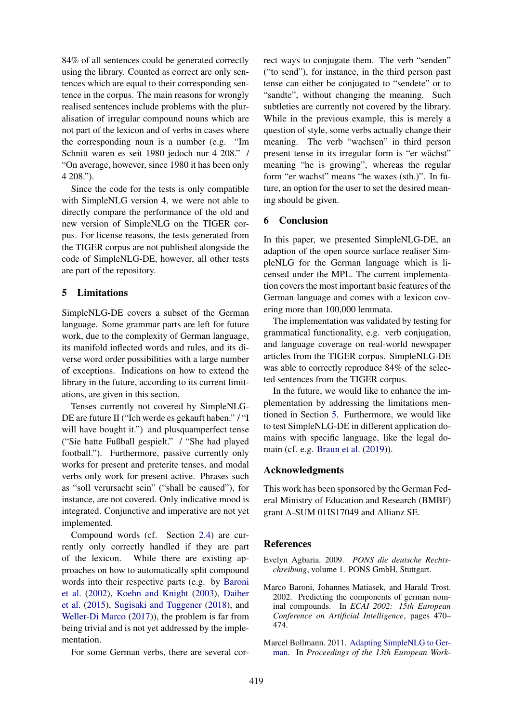84% of all sentences could be generated correctly using the library. Counted as correct are only sentences which are equal to their corresponding sentence in the corpus. The main reasons for wrongly realised sentences include problems with the pluralisation of irregular compound nouns which are not part of the lexicon and of verbs in cases where the corresponding noun is a number (e.g. "Im Schnitt waren es seit 1980 jedoch nur 4 208." / "On average, however, since 1980 it has been only 4 208.").

Since the code for the tests is only compatible with SimpleNLG version 4, we were not able to directly compare the performance of the old and new version of SimpleNLG on the TIGER corpus. For license reasons, the tests generated from the TIGER corpus are not published alongside the code of SimpleNLG-DE, however, all other tests are part of the repository.

### <span id="page-4-1"></span>5 Limitations

SimpleNLG-DE covers a subset of the German language. Some grammar parts are left for future work, due to the complexity of German language, its manifold inflected words and rules, and its diverse word order possibilities with a large number of exceptions. Indications on how to extend the library in the future, according to its current limitations, are given in this section.

Tenses currently not covered by SimpleNLG-DE are future II ("Ich werde es gekauft haben." / "I will have bought it.") and plusquamperfect tense ("Sie hatte Fußball gespielt." / "She had played football."). Furthermore, passive currently only works for present and preterite tenses, and modal verbs only work for present active. Phrases such as "soll verursacht sein" ("shall be caused"), for instance, are not covered. Only indicative mood is integrated. Conjunctive and imperative are not yet implemented.

Compound words (cf. Section [2.4\)](#page-1-0) are currently only correctly handled if they are part of the lexicon. While there are existing approaches on how to automatically split compound words into their respective parts (e.g. by [Baroni](#page-4-3) [et al.](#page-4-3) [\(2002\)](#page-4-3), [Koehn and Knight](#page-5-14) [\(2003\)](#page-5-14), [Daiber](#page-5-15) [et al.](#page-5-15) [\(2015\)](#page-5-15), [Sugisaki and Tuggener](#page-5-16) [\(2018\)](#page-5-16), and [Weller-Di Marco](#page-5-17) [\(2017\)](#page-5-17)), the problem is far from being trivial and is not yet addressed by the implementation.

For some German verbs, there are several cor-

rect ways to conjugate them. The verb "senden" ("to send"), for instance, in the third person past tense can either be conjugated to "sendete" or to "sandte", without changing the meaning. Such subtleties are currently not covered by the library. While in the previous example, this is merely a question of style, some verbs actually change their meaning. The verb "wachsen" in third person present tense in its irregular form is "er wächst" meaning "he is growing", whereas the regular form "er wachst" means "he waxes (sth.)". In future, an option for the user to set the desired meaning should be given.

### 6 Conclusion

In this paper, we presented SimpleNLG-DE, an adaption of the open source surface realiser SimpleNLG for the German language which is licensed under the MPL. The current implementation covers the most important basic features of the German language and comes with a lexicon covering more than 100,000 lemmata.

The implementation was validated by testing for grammatical functionality, e.g. verb conjugation, and language coverage on real-world newspaper articles from the TIGER corpus. SimpleNLG-DE was able to correctly reproduce 84% of the selected sentences from the TIGER corpus.

In the future, we would like to enhance the implementation by addressing the limitations mentioned in Section [5.](#page-4-1) Furthermore, we would like to test SimpleNLG-DE in different application domains with specific language, like the legal domain (cf. e.g. [Braun et al.](#page-5-18) [\(2019\)](#page-5-18)).

### Acknowledgments

This work has been sponsored by the German Federal Ministry of Education and Research (BMBF) grant A-SUM 01IS17049 and Allianz SE.

### **References**

- <span id="page-4-2"></span>Evelyn Agbaria. 2009. *PONS die deutsche Rechtschreibung*, volume 1. PONS GmbH, Stuttgart.
- <span id="page-4-3"></span>Marco Baroni, Johannes Matiasek, and Harald Trost. 2002. Predicting the components of german nominal compounds. In *ECAI 2002: 15th European Conference on Artificial Intelligence*, pages 470– 474.
- <span id="page-4-0"></span>Marcel Bollmann. 2011. [Adapting SimpleNLG to Ger](https://www.aclweb.org/anthology/W11-2817)[man.](https://www.aclweb.org/anthology/W11-2817) In *Proceedings of the 13th European Work-*